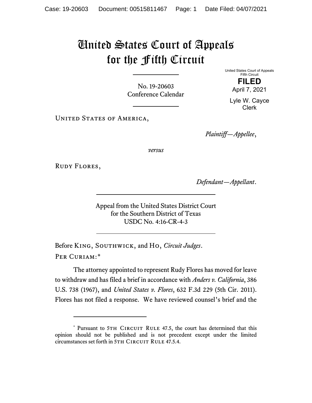## United States Court of Appeals for the Fifth Circuit

No. 19-20603 Conference Calendar United States Court of Appeals Fifth Circuit **FILED**

April 7, 2021

Lyle W. Cayce Clerk

UNITED STATES OF AMERICA,

*Plaintiff—Appellee*,

*versus*

Rudy Flores,

*Defendant—Appellant*.

Appeal from the United States District Court for the Southern District of Texas USDC No. 4:16-CR-4-3

Before King, Southwick, and Ho, *Circuit Judges*. Per Curiam:[\\*](#page-0-0)

The attorney appointed to represent Rudy Flores has moved for leave to withdraw and has filed a brief in accordance with *Anders v. California*, 386 U.S. 738 (1967), and *United States v. Flores*, 632 F.3d 229 (5th Cir. 2011). Flores has not filed a response. We have reviewed counsel's brief and the

<span id="page-0-0"></span><sup>\*</sup> Pursuant to 5TH CIRCUIT RULE 47.5, the court has determined that this opinion should not be published and is not precedent except under the limited circumstances set forth in 5TH CIRCUIT RULE 47.5.4.